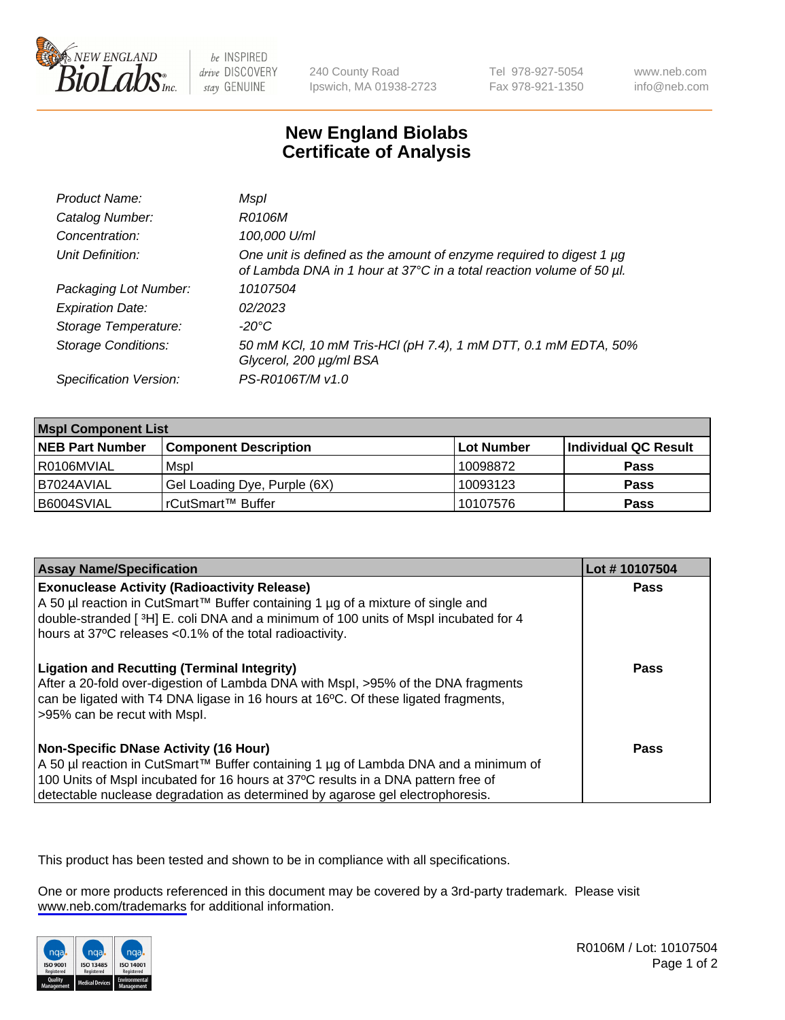

be INSPIRED drive DISCOVERY stay GENUINE

240 County Road Ipswich, MA 01938-2723 Tel 978-927-5054 Fax 978-921-1350

www.neb.com info@neb.com

## **New England Biolabs Certificate of Analysis**

| Product Name:              | Mspl                                                                                                                                             |
|----------------------------|--------------------------------------------------------------------------------------------------------------------------------------------------|
| Catalog Number:            | R0106M                                                                                                                                           |
| Concentration:             | 100,000 U/ml                                                                                                                                     |
| Unit Definition:           | One unit is defined as the amount of enzyme required to digest 1 $\mu$ g<br>of Lambda DNA in 1 hour at 37°C in a total reaction volume of 50 µl. |
| Packaging Lot Number:      | 10107504                                                                                                                                         |
| <b>Expiration Date:</b>    | 02/2023                                                                                                                                          |
| Storage Temperature:       | $-20^{\circ}$ C                                                                                                                                  |
| <b>Storage Conditions:</b> | 50 mM KCl, 10 mM Tris-HCl (pH 7.4), 1 mM DTT, 0.1 mM EDTA, 50%<br>Glycerol, 200 µg/ml BSA                                                        |
| Specification Version:     | PS-R0106T/M v1.0                                                                                                                                 |

| <b>Mspl Component List</b> |                              |            |                      |  |  |
|----------------------------|------------------------------|------------|----------------------|--|--|
| <b>NEB Part Number</b>     | <b>Component Description</b> | Lot Number | Individual QC Result |  |  |
| l R0106MVIAL               | Mspl                         | 10098872   | <b>Pass</b>          |  |  |
| I B7024AVIAL               | Gel Loading Dye, Purple (6X) | 10093123   | <b>Pass</b>          |  |  |
| B6004SVIAL                 | rCutSmart™ Buffer            | 10107576   | <b>Pass</b>          |  |  |

| <b>Assay Name/Specification</b>                                                                                                                                                                                                                                                                             | Lot #10107504 |
|-------------------------------------------------------------------------------------------------------------------------------------------------------------------------------------------------------------------------------------------------------------------------------------------------------------|---------------|
| <b>Exonuclease Activity (Radioactivity Release)</b><br>  A 50 µl reaction in CutSmart™ Buffer containing 1 µg of a mixture of single and<br>double-stranded [ <sup>3</sup> H] E. coli DNA and a minimum of 100 units of Mspl incubated for 4<br>hours at 37°C releases <0.1% of the total radioactivity.    | Pass          |
| <b>Ligation and Recutting (Terminal Integrity)</b><br>After a 20-fold over-digestion of Lambda DNA with Mspl, >95% of the DNA fragments<br>can be ligated with T4 DNA ligase in 16 hours at 16 <sup>o</sup> C. Of these ligated fragments,<br>-95% can be recut with Mspl.                                  | Pass          |
| <b>Non-Specific DNase Activity (16 Hour)</b><br>  A 50 µl reaction in CutSmart™ Buffer containing 1 µg of Lambda DNA and a minimum of<br>100 Units of Mspl incubated for 16 hours at 37°C results in a DNA pattern free of<br>detectable nuclease degradation as determined by agarose gel electrophoresis. | Pass          |

This product has been tested and shown to be in compliance with all specifications.

One or more products referenced in this document may be covered by a 3rd-party trademark. Please visit <www.neb.com/trademarks>for additional information.